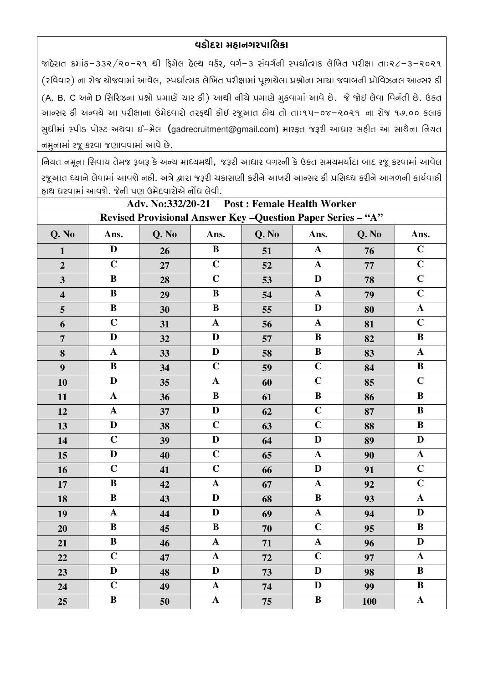## વડોદરા મહાનગરપાલિકા

જાહેરાત ક્રમાંક−૩૩૨/૨૦-૨૧ થી ફિમેલ હેલ્થ વર્કર, વર્ગ−૩ સંવર્ગની સ્પર્ધાત્મક લેખિત પરીક્ષા તાઃ૨૮-૩-૨૦૨૧ (રવિવાર) ના રોજ યોજવામાં આવેલ, સ્પર્ધાત્મક લેખિત પરીક્ષામાં પૂછાયેલા પ્રશ્નોના સાચા જવાબની પ્રોવિઝનલ આન્સર કી (A, B, C અને D સિરિઝના પ્રશ્નો પ્રમાણે ચાર કી) આથી નીચે પ્રમાણે મુકવામાં આવે છે. જે જોઈ લેવા વિનંતી છે. ઉકત આન્સર કી અન્વચે આ પરીક્ષાના ઉમેદવારો તરફથી કોઈ રજૂઆત હોય તો તાઃ૧૫–૦૪–૨૦૨૧ ના રોજ ૧૭.૦૦ કલાક સુધીમાં સ્પીડ પોસ્ટ અથવા ઈ-મેલ (gadrecruitment@gmail.com) મારફત જરૂરી આધાર સહીત આ સાથેના નિયત નમુનામાં રજૂ કરવા જણાવવામાં આવે છે.

નિયત નમૂના સિવાય તેમજ રૂબરૂ કે અન્ય માધ્યમથી, જરૂરી આધાર વગરની કે ઉકત સમયમર્યાદા બાદ રજૂ કરવામાં આવેલ રજૂઆત ધ્યાને લેવામાં આવશે નહી. અત્રે દ્વારા જરૂરી ચકાસણી કરીને આખરી આન્સર કી પ્રસિધ્ધ કરીને આગળની કાર્યવાહી ઠાથ ધરવામાં આવશે. જેની પણ ઉમેદવારોએ નોંધ લેવી.

| Adv. No:332/20-21 Post: Female Health Worker                 |                |       |                |       |                |            |                       |
|--------------------------------------------------------------|----------------|-------|----------------|-------|----------------|------------|-----------------------|
| Revised Provisional Answer Key - Question Paper Series - "A" |                |       |                |       |                |            |                       |
| Q. No                                                        | Ans.           | Q. No | Ans.           | Q. No | Ans.           | Q. No      | Ans.                  |
| $\mathbf{1}$                                                 | $\mathbf{D}$   | 26    | $\bf{B}$       | 51    | ${\bf A}$      | 76         | $\mathbf C$           |
| $\overline{2}$                                               | $\mathbf C$    | 27    | $\overline{C}$ | 52    | $\mathbf{A}$   | 77         | $\mathbf C$           |
| $\overline{\mathbf{3}}$                                      | $\, {\bf B}$   | 28    | $\mathbf C$    | 53    | D              | 78         | $\mathbf C$           |
| $\overline{\mathbf{4}}$                                      | $\, {\bf B}$   | 29    | $\bf{B}$       | 54    | $\mathbf{A}$   | 79         | $\overline{C}$        |
| 5                                                            | $\mathbf B$    | 30    | $\, {\bf B}$   | 55    | $\mathbf{D}$   | 80         | $\boldsymbol{\rm{A}}$ |
| 6                                                            | $\mathbf C$    | 31    | $\mathbf A$    | 56    | $\mathbf A$    | 81         | $\mathbf C$           |
| $\overline{7}$                                               | $\mathbf D$    | 32    | $\mathbf D$    | 57    | $\, {\bf B}$   | 82         | $\, {\bf B}$          |
| 8                                                            | $\mathbf A$    | 33    | $\mathbf D$    | 58    | $\bf{B}$       | 83         | $\boldsymbol{\rm{A}}$ |
| $\boldsymbol{9}$                                             | $\, {\bf B}$   | 34    | $\overline{C}$ | 59    | $\mathbf C$    | 84         | $\, {\bf B}$          |
| 10                                                           | $\mathbf{D}$   | 35    | $\mathbf A$    | 60    | $\overline{C}$ | 85         | $\overline{C}$        |
| 11                                                           | $\mathbf{A}$   | 36    | $\, {\bf B}$   | 61    | $\, {\bf B}$   | 86         | $\overline{B}$        |
| 12                                                           | $\mathbf A$    | 37    | $\mathbf D$    | 62    | $\overline{C}$ | 87         | $\, {\bf B}$          |
| 13                                                           | $\mathbf{D}$   | 38    | $\mathbf C$    | 63    | $\mathbf C$    | 88         | $\bf{B}$              |
| 14                                                           | $\mathbf C$    | 39    | $\mathbf D$    | 64    | D              | 89         | $\mathbf D$           |
| 15                                                           | $\mathbf{D}$   | 40    | $\overline{C}$ | 65    | $\mathbf{A}$   | 90         | $\boldsymbol{\rm{A}}$ |
| 16                                                           | $\overline{C}$ | 41    | $\overline{C}$ | 66    | $\mathbf{D}$   | 91         | $\overline{C}$        |
| 17                                                           | $\, {\bf B}$   | 42    | $\mathbf{A}$   | 67    | $\mathbf A$    | 92         | $\overline{C}$        |
| 18                                                           | $\, {\bf B}$   | 43    | $\mathbf D$    | 68    | $\, {\bf B}$   | 93         | $\boldsymbol{\rm{A}}$ |
| 19                                                           | $\mathbf{A}$   | 44    | $\mathbf{D}$   | 69    | $\mathbf{A}$   | 94         | $\mathbf D$           |
| 20                                                           | $\, {\bf B}$   | 45    | $\bf{B}$       | 70    | $\mathbf C$    | 95         | $\, {\bf B}$          |
| 21                                                           | $\bf{B}$       | 46    | $\mathbf{A}$   | 71    | ${\bf A}$      | 96         | $\mathbf D$           |
| 22                                                           | $\mathbf C$    | 47    | $\mathbf A$    | 72    | $\mathbf C$    | 97         | $\mathbf A$           |
| 23                                                           | $\mathbf D$    | 48    | $\mathbf D$    | 73    | $\mathbf{D}$   | 98         | $\, {\bf B}$          |
| 24                                                           | $\mathbf C$    | 49    | $\mathbf A$    | 74    | $\mathbf{D}$   | 99         | $\mathbf B$           |
| 25                                                           | $\, {\bf B}$   | 50    | $\mathbf A$    | 75    | $\, {\bf B}$   | <b>100</b> | $\boldsymbol{\rm{A}}$ |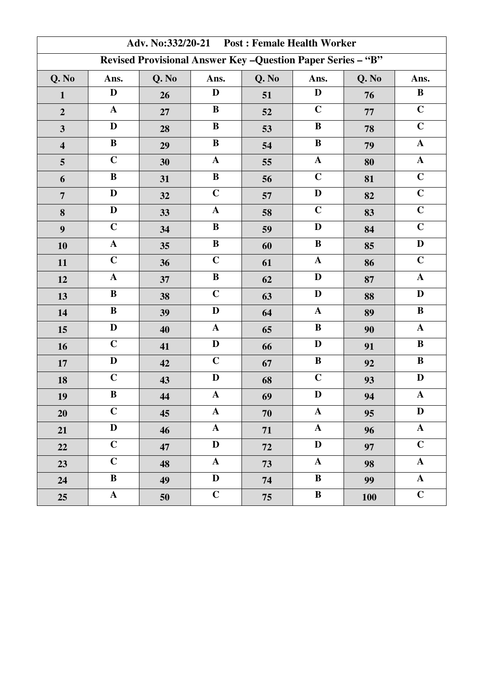| Adv. No:332/20-21 Post: Female Health Worker                 |              |       |              |       |              |       |                      |
|--------------------------------------------------------------|--------------|-------|--------------|-------|--------------|-------|----------------------|
| Revised Provisional Answer Key - Question Paper Series - "B" |              |       |              |       |              |       |                      |
| Q. No                                                        | Ans.         | Q. No | Ans.         | Q. No | Ans.         | Q. No | Ans.                 |
| $\mathbf{1}$                                                 | D            | 26    | D            | 51    | D            | 76    | $\bf{B}$             |
| $\overline{2}$                                               | $\mathbf{A}$ | 27    | $\bf{B}$     | 52    | $\mathbf C$  | 77    | $\mathbf C$          |
| $\overline{\mathbf{3}}$                                      | D            | 28    | $\bf{B}$     | 53    | $\bf{B}$     | 78    | $\mathbf C$          |
| $\overline{\mathbf{4}}$                                      | $\, {\bf B}$ | 29    | $\, {\bf B}$ | 54    | $\bf{B}$     | 79    | $\mathbf A$          |
| 5                                                            | $\mathbf C$  | 30    | ${\bf A}$    | 55    | ${\bf A}$    | 80    | $\mathbf A$          |
| 6                                                            | $\, {\bf B}$ | 31    | $\, {\bf B}$ | 56    | $\mathbf C$  | 81    | $\mathbf C$          |
| $\overline{7}$                                               | D            | 32    | $\mathbf C$  | 57    | $\mathbf{D}$ | 82    | $\mathbf C$          |
| 8                                                            | D            | 33    | $\mathbf{A}$ | 58    | $\mathbf C$  | 83    | $\mathbf C$          |
| $\boldsymbol{9}$                                             | $\mathbf C$  | 34    | $\bf{B}$     | 59    | $\mathbf{D}$ | 84    | $\mathbf C$          |
| 10                                                           | $\mathbf A$  | 35    | $\bf B$      | 60    | $\bf{B}$     | 85    | $\mathbf D$          |
| 11                                                           | $\mathbf C$  | 36    | $\mathbf C$  | 61    | $\mathbf{A}$ | 86    | $\mathbf C$          |
| 12                                                           | $\mathbf{A}$ | 37    | $\bf{B}$     | 62    | $\mathbf{D}$ | 87    | $\mathbf{A}$         |
| 13                                                           | $\, {\bf B}$ | 38    | $\mathbf C$  | 63    | $\mathbf{D}$ | 88    | $\mathbf D$          |
| 14                                                           | $\bf{B}$     | 39    | D            | 64    | $\mathbf{A}$ | 89    | $\, {\bf B}$         |
| 15                                                           | $\mathbf D$  | 40    | $\mathbf A$  | 65    | $\bf{B}$     | 90    | $\boldsymbol{\rm A}$ |
| 16                                                           | $\mathbf C$  | 41    | D            | 66    | D            | 91    | $\, {\bf B}$         |
| 17                                                           | $\mathbf D$  | 42    | $\mathbf C$  | 67    | $\, {\bf B}$ | 92    | $\, {\bf B}$         |
| 18                                                           | $\mathbf C$  | 43    | $\mathbf D$  | 68    | $\mathbf C$  | 93    | D                    |
| 19                                                           | $\bf{B}$     | 44    | $\mathbf A$  | 69    | D            | 94    | $\mathbf{A}$         |
| 20                                                           | $\mathbf C$  | 45    | $\mathbf{A}$ | 70    | $\mathbf{A}$ | 95    | D                    |
| 21                                                           | $\mathbf{D}$ | 46    | $\mathbf{A}$ | 71    | ${\bf A}$    | 96    | $\mathbf A$          |
| 22                                                           | $\mathbf C$  | 47    | $\mathbf{D}$ | 72    | D            | 97    | $\mathbf C$          |
| 23                                                           | $\mathbf C$  | 48    | $\mathbf{A}$ | 73    | ${\bf A}$    | 98    | $\mathbf{A}$         |
| 24                                                           | $\bf{B}$     | 49    | D            | 74    | $\bf{B}$     | 99    | ${\bf A}$            |
| 25                                                           | ${\bf A}$    | 50    | $\mathbf C$  | 75    | $\bf{B}$     | 100   | $\mathbf C$          |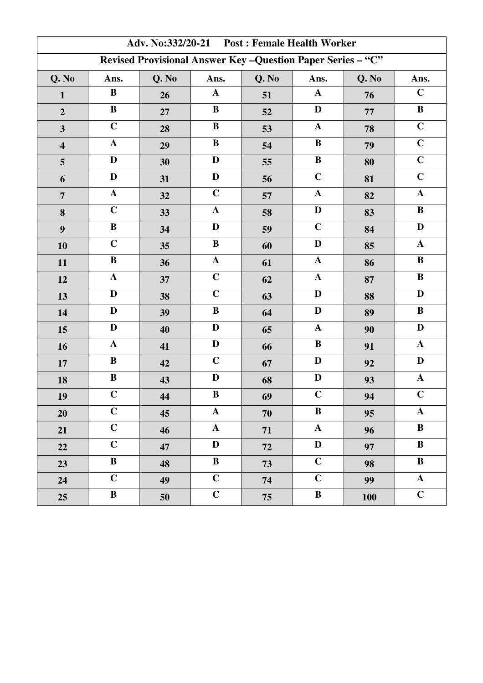| Adv. No:332/20-21 Post: Female Health Worker                 |                |       |                |       |              |            |                |
|--------------------------------------------------------------|----------------|-------|----------------|-------|--------------|------------|----------------|
| Revised Provisional Answer Key - Question Paper Series - "C" |                |       |                |       |              |            |                |
| Q. No                                                        | Ans.           | Q. No | Ans.           | Q. No | Ans.         | Q. No      | Ans.           |
| $\mathbf{1}$                                                 | $\bf{B}$       | 26    | $\mathbf{A}$   | 51    | $\mathbf{A}$ | 76         | $\mathbf C$    |
| $\overline{2}$                                               | $\bf{B}$       | 27    | $\bf{B}$       | 52    | $\mathbf D$  | 77         | $\, {\bf B}$   |
| $\overline{\mathbf{3}}$                                      | $\mathbf C$    | 28    | $\bf{B}$       | 53    | $\mathbf A$  | 78         | $\overline{C}$ |
| $\overline{\mathbf{4}}$                                      | $\mathbf{A}$   | 29    | $\bf{B}$       | 54    | $\bf{B}$     | 79         | $\mathbf C$    |
| 5                                                            | $\mathbf D$    | 30    | $\mathbf D$    | 55    | $\bf{B}$     | 80         | $\overline{C}$ |
| 6                                                            | $\mathbf D$    | 31    | $\mathbf D$    | 56    | $\mathbf C$  | 81         | $\mathbf C$    |
| $\overline{7}$                                               | ${\bf A}$      | 32    | $\mathbf C$    | 57    | $\mathbf{A}$ | 82         | ${\bf A}$      |
| 8                                                            | $\overline{C}$ | 33    | $\mathbf{A}$   | 58    | $\mathbf{D}$ | 83         | $\, {\bf B}$   |
| 9                                                            | $\, {\bf B}$   | 34    | D              | 59    | $\mathbf C$  | 84         | $\mathbf D$    |
| 10                                                           | $\mathbf C$    | 35    | $\, {\bf B}$   | 60    | $\mathbf D$  | 85         | $\mathbf A$    |
| 11                                                           | $\bf{B}$       | 36    | $\mathbf A$    | 61    | $\mathbf{A}$ | 86         | $\, {\bf B}$   |
| 12                                                           | ${\bf A}$      | 37    | $\overline{C}$ | 62    | ${\bf A}$    | 87         | $\, {\bf B}$   |
| 13                                                           | D              | 38    | $\mathbf C$    | 63    | D            | 88         | $\mathbf D$    |
| 14                                                           | $\mathbf D$    | 39    | $\bf{B}$       | 64    | $\mathbf{D}$ | 89         | $\, {\bf B}$   |
| 15                                                           | $\mathbf D$    | 40    | $\mathbf D$    | 65    | $\mathbf{A}$ | 90         | $\mathbf D$    |
| 16                                                           | ${\bf A}$      | 41    | $\mathbf D$    | 66    | $\bf{B}$     | 91         | $\mathbf A$    |
| 17                                                           | ${\bf B}$      | 42    | $\mathbf C$    | 67    | $\mathbf{D}$ | 92         | $\mathbf D$    |
| 18                                                           | $\, {\bf B}$   | 43    | D              | 68    | $\mathbf D$  | 93         | $\mathbf{A}$   |
| 19                                                           | $\mathbf C$    | 44    | $\bf{B}$       | 69    | $\mathbf C$  | 94         | $\mathbf C$    |
| 20                                                           | $\mathbf C$    | 45    | $\mathbf{A}$   | 70    | $\bf{B}$     | 95         | $\mathbf{A}$   |
| 21                                                           | $\mathbf C$    | 46    | ${\bf A}$      | 71    | $\mathbf{A}$ | 96         | $\bf{B}$       |
| 22                                                           | $\mathbf C$    | 47    | D              | 72    | D            | 97         | $\bf{B}$       |
| 23                                                           | $\bf{B}$       | 48    | $\, {\bf B}$   | 73    | $\mathbf C$  | 98         | $\bf{B}$       |
| 24                                                           | $\mathbf C$    | 49    | $\overline{C}$ | 74    | $\mathbf C$  | 99         | $\mathbf{A}$   |
| 25                                                           | $\bf{B}$       | 50    | $\mathbf C$    | 75    | $\bf{B}$     | <b>100</b> | $\overline{C}$ |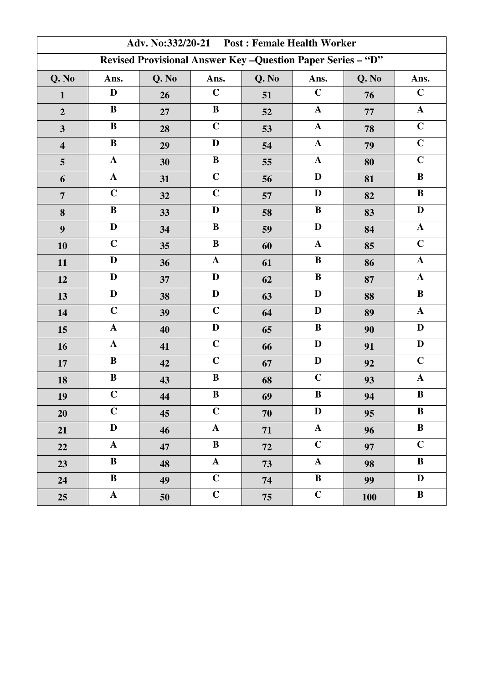| Adv. No:332/20-21 Post: Female Health Worker                 |              |       |                |       |              |       |                |
|--------------------------------------------------------------|--------------|-------|----------------|-------|--------------|-------|----------------|
| Revised Provisional Answer Key - Question Paper Series - "D" |              |       |                |       |              |       |                |
| Q. No                                                        | Ans.         | Q. No | Ans.           | Q. No | Ans.         | Q. No | Ans.           |
| $\mathbf{1}$                                                 | $\mathbf D$  | 26    | $\mathbf C$    | 51    | $\mathbf C$  | 76    | $\mathbf C$    |
| $\overline{2}$                                               | $\bf{B}$     | 27    | $\bf{B}$       | 52    | $\mathbf{A}$ | 77    | $\mathbf{A}$   |
| $\overline{\mathbf{3}}$                                      | $\bf{B}$     | 28    | $\mathbf C$    | 53    | $\mathbf A$  | 78    | $\overline{C}$ |
| $\overline{\mathbf{4}}$                                      | $\, {\bf B}$ | 29    | D              | 54    | $\mathbf{A}$ | 79    | $\mathbf C$    |
| 5                                                            | ${\bf A}$    | 30    | $\, {\bf B}$   | 55    | ${\bf A}$    | 80    | $\overline{C}$ |
| 6                                                            | ${\bf A}$    | 31    | $\mathbf C$    | 56    | D            | 81    | $\, {\bf B}$   |
| $\overline{7}$                                               | $\mathbf C$  | 32    | $\mathbf C$    | 57    | $\mathbf{D}$ | 82    | $\, {\bf B}$   |
| 8                                                            | $\, {\bf B}$ | 33    | $\mathbf D$    | 58    | $\bf{B}$     | 83    | $\mathbf D$    |
| 9                                                            | $\mathbf D$  | 34    | $\bf{B}$       | 59    | D            | 84    | $\mathbf A$    |
| 10                                                           | $\mathbf C$  | 35    | $\bf{B}$       | 60    | $\mathbf{A}$ | 85    | $\mathbf C$    |
| 11                                                           | D            | 36    | $\mathbf A$    | 61    | $\bf{B}$     | 86    | $\mathbf{A}$   |
| 12                                                           | $\mathbf D$  | 37    | $\mathbf{D}$   | 62    | $\bf{B}$     | 87    | $\mathbf A$    |
| 13                                                           | D            | 38    | $\mathbf D$    | 63    | D            | 88    | $\, {\bf B}$   |
| 14                                                           | $\mathbf C$  | 39    | $\mathbf C$    | 64    | $\mathbf{D}$ | 89    | $\mathbf{A}$   |
| 15                                                           | ${\bf A}$    | 40    | $\mathbf D$    | 65    | $\bf{B}$     | 90    | $\mathbf D$    |
| 16                                                           | ${\bf A}$    | 41    | $\overline{C}$ | 66    | $\mathbf{D}$ | 91    | $\mathbf D$    |
| 17                                                           | ${\bf B}$    | 42    | $\mathbf C$    | 67    | $\mathbf{D}$ | 92    | $\mathbf C$    |
| 18                                                           | $\, {\bf B}$ | 43    | $\bf{B}$       | 68    | $\mathbf C$  | 93    | $\mathbf A$    |
| 19                                                           | $\mathbf C$  | 44    | $\bf{B}$       | 69    | $\bf{B}$     | 94    | $\bf{B}$       |
| 20                                                           | $\mathbf C$  | 45    | $\mathbf C$    | 70    | D            | 95    | $\bf{B}$       |
| 21                                                           | $\mathbf{D}$ | 46    | $\mathbf{A}$   | 71    | $\mathbf{A}$ | 96    | $\bf{B}$       |
| 22                                                           | ${\bf A}$    | 47    | $\bf{B}$       | 72    | $\mathbf C$  | 97    | $\mathbf C$    |
| 23                                                           | $\bf{B}$     | 48    | $\mathbf{A}$   | 73    | ${\bf A}$    | 98    | $\bf{B}$       |
| 24                                                           | $\bf{B}$     | 49    | $\overline{C}$ | 74    | $\bf{B}$     | 99    | $\mathbf{D}$   |
| 25                                                           | ${\bf A}$    | 50    | $\overline{C}$ | 75    | $\mathbf C$  | 100   | $\, {\bf B}$   |